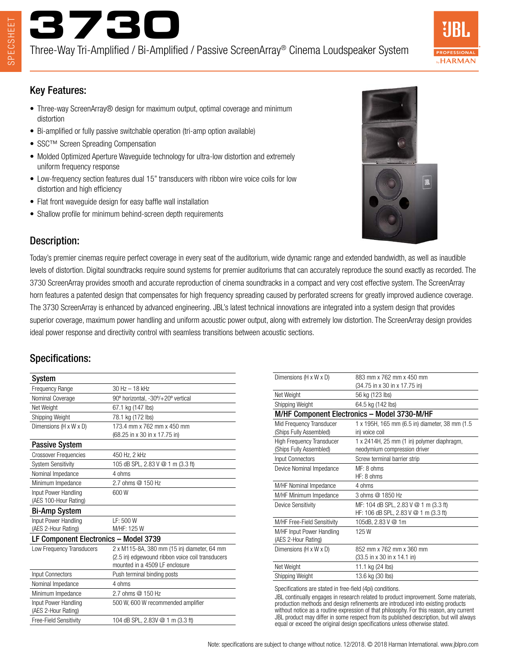

Three-Way Tri-Amplified / Bi-Amplified / Passive ScreenArray® Cinema Loudspeaker System



### Key Features:

- Three-way ScreenArray® design for maximum output, optimal coverage and minimum distortion
- Bi-amplified or fully passive switchable operation (tri-amp option available)
- SSC™ Screen Spreading Compensation
- Molded Optimized Aperture Waveguide technology for ultra-low distortion and extremely uniform frequency response
- Low-frequency section features dual 15" transducers with ribbon wire voice coils for low distortion and high efficiency
- Flat front waveguide design for easy baffle wall installation
- Shallow profile for minimum behind-screen depth requirements



## Description:

Today's premier cinemas require perfect coverage in every seat of the auditorium, wide dynamic range and extended bandwidth, as well as inaudible levels of distortion. Digital soundtracks require sound systems for premier auditoriums that can accurately reproduce the sound exactly as recorded. The 3730 ScreenArray provides smooth and accurate reproduction of cinema soundtracks in a compact and very cost effective system. The ScreenArray horn features a patented design that compensates for high frequency spreading caused by perforated screens for greatly improved audience coverage. The 3730 ScreenArray is enhanced by advanced engineering. JBL's latest technical innovations are integrated into a system design that provides superior coverage, maximum power handling and uniform acoustic power output, along with extremely low distortion. The ScreenArray design provides ideal power response and directivity control with seamless transitions between acoustic sections.

## Specifications:

| System                                |                                                  |
|---------------------------------------|--------------------------------------------------|
| Frequency Range                       | $30$ Hz $- 18$ kHz                               |
| Nominal Coverage                      | 90° horizontal, -30°/+20° vertical               |
| Net Weight                            | 67.1 kg (147 lbs)                                |
| Shipping Weight                       | 78.1 kg (172 lbs)                                |
| Dimensions (H x W x D)                | 173.4 mm x 762 mm x 450 mm                       |
|                                       | (68.25 in x 30 in x 17.75 in)                    |
| <b>Passive System</b>                 |                                                  |
| <b>Crossover Frequencies</b>          | 450 Hz, 2 kHz                                    |
| <b>System Sensitivity</b>             | 105 dB SPL, 2.83 V @ 1 m (3.3 ft)                |
| Nominal Impedance                     | 4 ohms                                           |
| Minimum Impedance                     | 2.7 ohms @ 150 Hz                                |
| Input Power Handling                  | 600W                                             |
| (AES 100-Hour Rating)                 |                                                  |
| <b>Bi-Amp System</b>                  |                                                  |
| Input Power Handling                  | LF: 500 W                                        |
| (AES 2-Hour Rating)                   | M/HF: 125 W                                      |
| LF Component Electronics - Model 3739 |                                                  |
| Low Frequency Transducers             | 2 x M115-8A, 380 mm (15 in) diameter, 64 mm      |
|                                       | (2.5 in) edgewound ribbon voice coil transducers |
|                                       | mounted in a 4509 LF enclosure                   |
| <b>Input Connectors</b>               | Push terminal binding posts                      |
| Nominal Impedance                     | 4 ohms                                           |
| Minimum Impedance                     | 2.7 ohms @ 150 Hz                                |
| Input Power Handling                  | 500 W, 600 W recommended amplifier               |
| (AES 2-Hour Rating)                   |                                                  |
| Free-Field Sensitivity                | 104 dB SPL, 2.83V @ 1 m (3.3 ft)                 |

| Dimensions (H x W x D)                                      | 883 mm x 762 mm x 450 mm<br>(34.75 in x 30 in x 17.75 in)                        |
|-------------------------------------------------------------|----------------------------------------------------------------------------------|
| Net Weight                                                  | 56 kg (123 lbs)                                                                  |
| Shipping Weight                                             | 64.5 kg (142 lbs)                                                                |
| M/HF Component Electronics - Model 3730-M/HF                |                                                                                  |
| Mid Frequency Transducer<br>(Ships Fully Assembled)         | 1 x 195H, 165 mm (6.5 in) diameter, 38 mm (1.5<br>in) voice coil                 |
| <b>High Frequency Transducer</b><br>(Ships Fully Assembled) | 1 x 2414H, 25 mm (1 in) polymer diaphragm,<br>neodymium compression driver       |
| Input Connectors                                            | Screw terminal barrier strip                                                     |
| Device Nominal Impedance                                    | MF: 8 ohms<br>HF: 8 ohms                                                         |
| M/HF Nominal Impedance                                      | 4 ohms                                                                           |
| M/HF Minimum Impedance                                      | 3 ohms @ 1850 Hz                                                                 |
| Device Sensitivity                                          | MF: 104 dB SPL, 2.83 V @ 1 m (3.3 ft)<br>HF: 106 dB SPL, 2.83 V $@$ 1 m (3.3 ft) |
| M/HF Free-Field Sensitivity                                 | 105dB, 2.83 V @ 1m                                                               |
| M/HF Input Power Handling<br>(AES 2-Hour Rating)            | 125W                                                                             |
| Dimensions (H x W x D)                                      | 852 mm x 762 mm x 360 mm<br>(33.5 in x 30 in x 14.1 in)                          |
| Net Weight                                                  | 11.1 kg (24 lbs)                                                                 |
| Shipping Weight                                             | 13.6 kg (30 lbs)                                                                 |
| Consifications are stated in free field (Api) conditions    |                                                                                  |

Specifications are stated in free-field (4pi) conditions.

JBL continually engages in research related to product improvement. Some materials, production methods and design refinements are introduced into existing products without notice as a routine expression of that philosophy. For this reason, any current JBL product may differ in some respect from its published description, but will always equal or exceed the original design specifications unless otherwise stated.